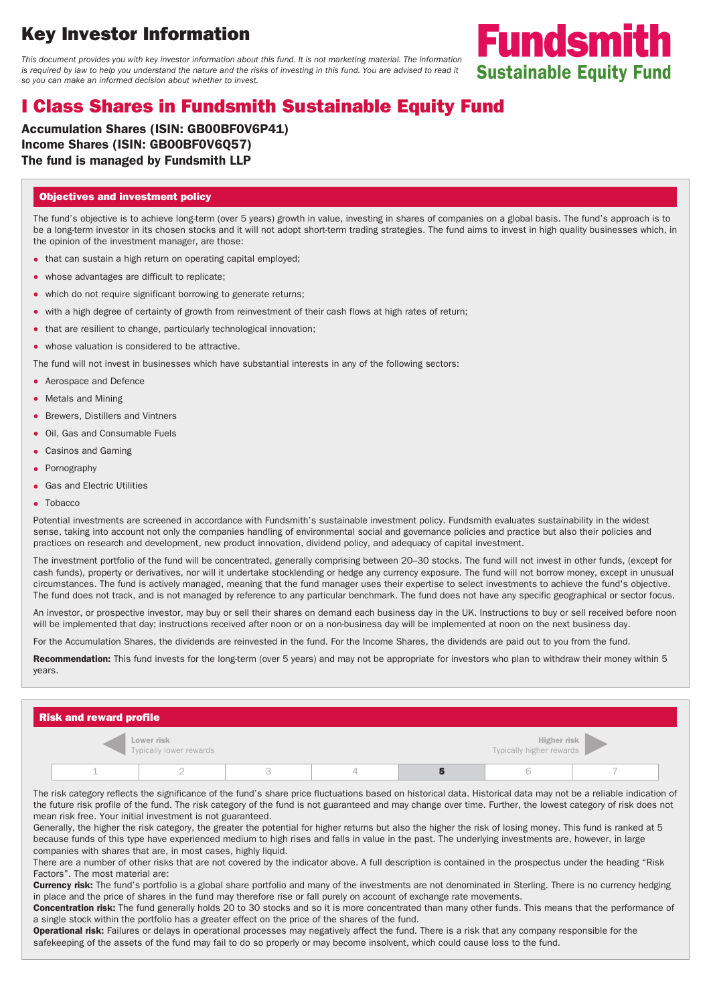# **Key Investor Information**

This document provides you with key investor information about this fund. It is not marketing material. The information is required by law to help you understand the nature and the risks of investing in this fund. You are advised to read it so you can make an informed decision about whether to invest.



**Fundsmith** 

## **I Class Shares in Fundsmith Sustainable Equity Fund**

**Accumulation Shares (ISIN: GB00BF0V6P41) Income Shares (ISIN: GB00BF0V6Q57) The fund is managed by Fundsmith LLP**

### **Objectives and investment policy**

The fund's objective is to achieve long-term (over 5 years) growth in value, investing in shares of companies on a global basis. The fund's approach is to be a long-term investor in its chosen stocks and it will not adopt short-term trading strategies. The fund aims to invest in high quality businesses which, in the opinion of the investment manager, are those:

- that can sustain a high return on operating capital employed;
- whose advantages are difficult to replicate;
- which do not require significant borrowing to generate returns;
- with a high degree of certainty of growth from reinvestment of their cash flows at high rates of return;
- that are resilient to change, particularly technological innovation;
- whose valuation is considered to be attractive.

The fund will not invest in businesses which have substantial interests in any of the following sectors:

- Aerospace and Defence
- Metals and Mining
- Brewers, Distillers and Vintners
- Oil, Gas and Consumable Fuels
- Casinos and Gaming
- Pornography
- Gas and Electric Utilities
- Tobacco

Potential investments are screened in accordance with Fundsmith's sustainable investment policy. Fundsmith evaluates sustainability in the widest sense, taking into account not only the companies handling of environmental social and governance policies and practice but also their policies and practices on research and development, new product innovation, dividend policy, and adequacy of capital investment.

The investment portfolio of the fund will be concentrated, generally comprising between 20–30 stocks. The fund will not invest in other funds, (except for cash funds), property or derivatives, nor will it undertake stocklending or hedge any currency exposure. The fund will not borrow money, except in unusual circumstances. The fund is actively managed, meaning that the fund manager uses their expertise to select investments to achieve the fund's objective. The fund does not track, and is not managed by reference to any particular benchmark. The fund does not have any specific geographical or sector focus.

An investor, or prospective investor, may buy or sell their shares on demand each business day in the UK. Instructions to buy or sell received before noon will be implemented that day; instructions received after noon or on a non-business day will be implemented at noon on the next business day.

For the Accumulation Shares, the dividends are reinvested in the fund. For the Income Shares, the dividends are paid out to you from the fund.

**Recommendation:** This fund invests for the long-term (over 5 years) and may not be appropriate for investors who plan to withdraw their money within 5 years.

| <b>Risk and reward profile</b>               |  |  |  |  |                                                |  |  |  |  |
|----------------------------------------------|--|--|--|--|------------------------------------------------|--|--|--|--|
| <b>Lower risk</b><br>Typically lower rewards |  |  |  |  | <b>Higher risk</b><br>Typically higher rewards |  |  |  |  |
|                                              |  |  |  |  |                                                |  |  |  |  |

The risk category reflects the significance of the fund's share price fluctuations based on historical data. Historical data may not be a reliable indication of the future risk profile of the fund. The risk category of the fund is not guaranteed and may change over time. Further, the lowest category of risk does not mean risk free. Your initial investment is not guaranteed.

Generally, the higher the risk category, the greater the potential for higher returns but also the higher the risk of losing money. This fund is ranked at 5 because funds of this type have experienced medium to high rises and falls in value in the past. The underlying investments are, however, in large companies with shares that are, in most cases, highly liquid.

There are a number of other risks that are not covered by the indicator above. A full description is contained in the prospectus under the heading "Risk Factors". The most material are:

**Currency risk:** The fund's portfolio is a global share portfolio and many of the investments are not denominated in Sterling. There is no currency hedging in place and the price of shares in the fund may therefore rise or fall purely on account of exchange rate movements.

**Concentration risk:** The fund generally holds 20 to 30 stocks and so it is more concentrated than many other funds. This means that the performance of a single stock within the portfolio has a greater effect on the price of the shares of the fund.

**Operational risk:** Failures or delays in operational processes may negatively affect the fund. There is a risk that any company responsible for the safekeeping of the assets of the fund may fail to do so properly or may become insolvent, which could cause loss to the fund.